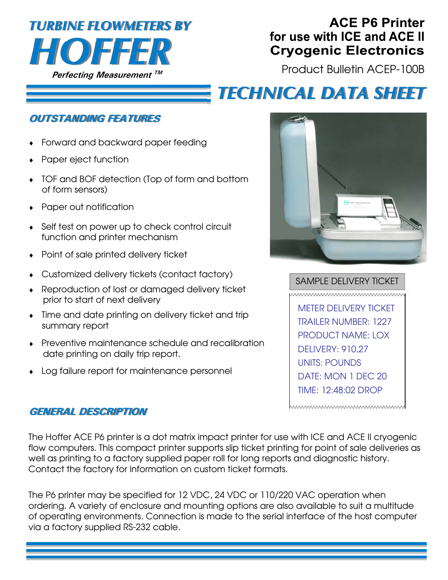

### **ACE P6 Printer** for use with ICE and ACE II **Cryogenic Electronics**

Product Bulletin ACEP-100B

# **TECHNICAL DATA SHEET**

### **OUTSTANDING FEATURES**

- Forward and backward paper feeding
- Paper eject function
- TOF and BOF detection (Top of form and bottom of form sensors)
- Paper out notification
- Self test on power up to check control circuit function and printer mechanism
- Point of sale printed delivery ticket
- Customized delivery tickets (contact factory)
- Reproduction of lost or damaged delivery ticket prior to start of next delivery
- Time and date printing on delivery ticket and trip summary report
- Preventive maintenance schedule and recalibration date printing on daily trip report.
- Log failure report for maintenance personnel



SAMPLE DELIVERY TICKET wwwwwwwwwwwwwwww METER DELIVERY TICKET TRAILER NUMBER: 1227 PRODUCT NAME: LOX DELIVERY: 910,27 UNITS: POUNDS DATE: MON 1 DEC 20 TIME: 12:48:02 DROP

www.www.www.www.www

#### **GENERAL DESCRIPTION**

The Hoffer ACE P6 printer is a dot matrix impact printer for use with ICE and ACE II cryogenic flow computers. This compact printer supports slip ticket printing for point of sale deliveries as well as printing to a factory supplied paper roll for long reports and diagnostic history. Contact the factory for information on custom ticket formats.

The P6 printer may be specified for 12 VDC, 24 VDC or 110/220 VAC operation when ordering. A variety of enclosure and mounting options are also available to suit a multitude of operating environments. Connection is made to the serial interface of the host computer via a factory supplied RS-232 cable.